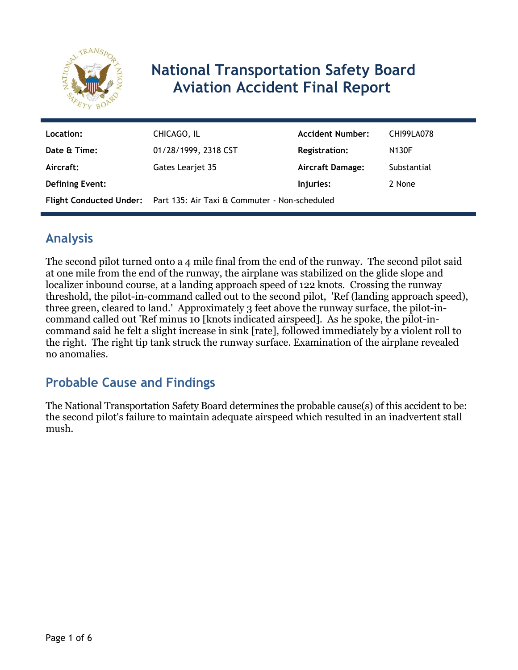

# **National Transportation Safety Board Aviation Accident Final Report**

| Location:              | CHICAGO, IL                                                           | <b>Accident Number:</b> | <b>CHI99LA078</b> |
|------------------------|-----------------------------------------------------------------------|-------------------------|-------------------|
| Date & Time:           | 01/28/1999, 2318 CST                                                  | <b>Registration:</b>    | <b>N130F</b>      |
| Aircraft:              | Gates Learjet 35                                                      | <b>Aircraft Damage:</b> | Substantial       |
| <b>Defining Event:</b> |                                                                       | Injuries:               | 2 None            |
|                        | Flight Conducted Under: Part 135: Air Taxi & Commuter - Non-scheduled |                         |                   |

# **Analysis**

The second pilot turned onto a 4 mile final from the end of the runway. The second pilot said at one mile from the end of the runway, the airplane was stabilized on the glide slope and localizer inbound course, at a landing approach speed of 122 knots. Crossing the runway threshold, the pilot-in-command called out to the second pilot, 'Ref (landing approach speed), three green, cleared to land.' Approximately 3 feet above the runway surface, the pilot-incommand called out 'Ref minus 10 [knots indicated airspeed]. As he spoke, the pilot-incommand said he felt a slight increase in sink [rate], followed immediately by a violent roll to the right. The right tip tank struck the runway surface. Examination of the airplane revealed no anomalies.

# **Probable Cause and Findings**

The National Transportation Safety Board determines the probable cause(s) of this accident to be: the second pilot's failure to maintain adequate airspeed which resulted in an inadvertent stall mush.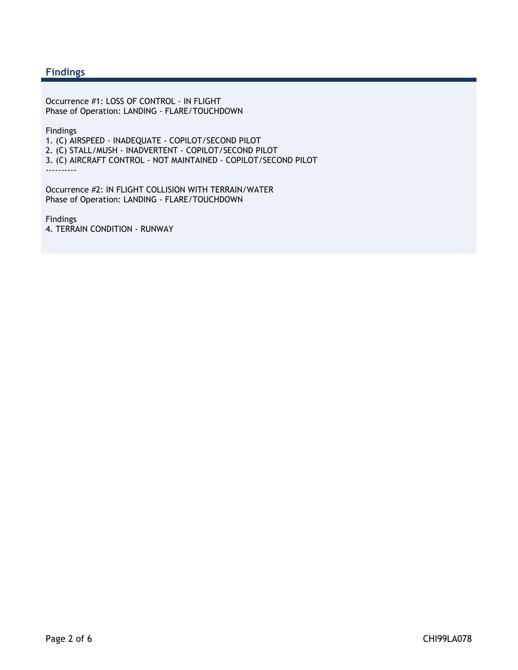#### **Findings**

Occurrence #1: LOSS OF CONTROL - IN FLIGHT Phase of Operation: LANDING - FLARE/TOUCHDOWN

Findings

1. (C) AIRSPEED - INADEQUATE - COPILOT/SECOND PILOT

2. (C) STALL/MUSH - INADVERTENT - COPILOT/SECOND PILOT

3. (C) AIRCRAFT CONTROL - NOT MAINTAINED - COPILOT/SECOND PILOT

----------

Occurrence #2: IN FLIGHT COLLISION WITH TERRAIN/WATER Phase of Operation: LANDING - FLARE/TOUCHDOWN

Findings 4. TERRAIN CONDITION - RUNWAY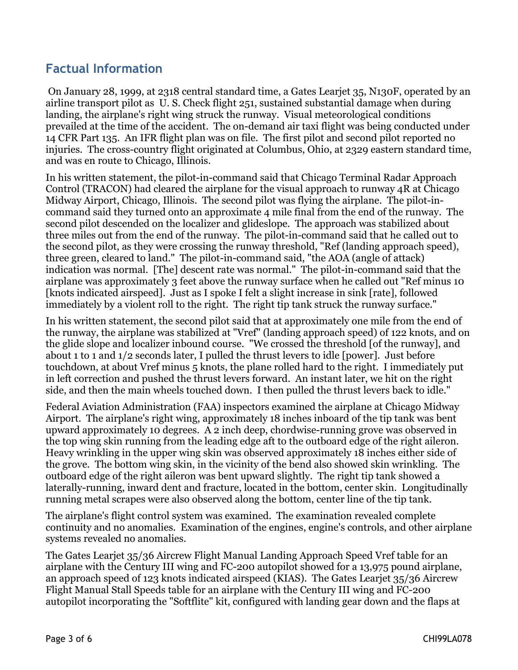## **Factual Information**

 On January 28, 1999, at 2318 central standard time, a Gates Learjet 35, N130F, operated by an airline transport pilot as U. S. Check flight 251, sustained substantial damage when during landing, the airplane's right wing struck the runway. Visual meteorological conditions prevailed at the time of the accident. The on-demand air taxi flight was being conducted under 14 CFR Part 135. An IFR flight plan was on file. The first pilot and second pilot reported no injuries. The cross-country flight originated at Columbus, Ohio, at 2329 eastern standard time, and was en route to Chicago, Illinois.

In his written statement, the pilot-in-command said that Chicago Terminal Radar Approach Control (TRACON) had cleared the airplane for the visual approach to runway 4R at Chicago Midway Airport, Chicago, Illinois. The second pilot was flying the airplane. The pilot-incommand said they turned onto an approximate 4 mile final from the end of the runway. The second pilot descended on the localizer and glideslope. The approach was stabilized about three miles out from the end of the runway. The pilot-in-command said that he called out to the second pilot, as they were crossing the runway threshold, "Ref (landing approach speed), three green, cleared to land." The pilot-in-command said, "the AOA (angle of attack) indication was normal. [The] descent rate was normal." The pilot-in-command said that the airplane was approximately 3 feet above the runway surface when he called out "Ref minus 10 [knots indicated airspeed]. Just as I spoke I felt a slight increase in sink [rate], followed immediately by a violent roll to the right. The right tip tank struck the runway surface."

In his written statement, the second pilot said that at approximately one mile from the end of the runway, the airplane was stabilized at "Vref" (landing approach speed) of 122 knots, and on the glide slope and localizer inbound course. "We crossed the threshold [of the runway], and about 1 to 1 and 1/2 seconds later, I pulled the thrust levers to idle [power]. Just before touchdown, at about Vref minus 5 knots, the plane rolled hard to the right. I immediately put in left correction and pushed the thrust levers forward. An instant later, we hit on the right side, and then the main wheels touched down. I then pulled the thrust levers back to idle."

Federal Aviation Administration (FAA) inspectors examined the airplane at Chicago Midway Airport. The airplane's right wing, approximately 18 inches inboard of the tip tank was bent upward approximately 10 degrees. A 2 inch deep, chordwise-running grove was observed in the top wing skin running from the leading edge aft to the outboard edge of the right aileron. Heavy wrinkling in the upper wing skin was observed approximately 18 inches either side of the grove. The bottom wing skin, in the vicinity of the bend also showed skin wrinkling. The outboard edge of the right aileron was bent upward slightly. The right tip tank showed a laterally-running, inward dent and fracture, located in the bottom, center skin. Longitudinally running metal scrapes were also observed along the bottom, center line of the tip tank.

The airplane's flight control system was examined. The examination revealed complete continuity and no anomalies. Examination of the engines, engine's controls, and other airplane systems revealed no anomalies.

The Gates Learjet 35/36 Aircrew Flight Manual Landing Approach Speed Vref table for an airplane with the Century III wing and FC-200 autopilot showed for a 13,975 pound airplane, an approach speed of 123 knots indicated airspeed (KIAS). The Gates Learjet 35/36 Aircrew Flight Manual Stall Speeds table for an airplane with the Century III wing and FC-200 autopilot incorporating the "Softflite" kit, configured with landing gear down and the flaps at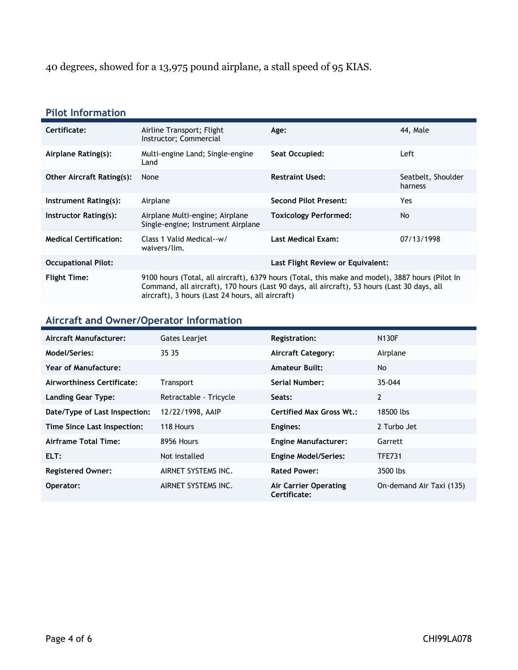40 degrees, showed for a 13,975 pound airplane, a stall speed of 95 KIAS.

### **Pilot Information**

| Certificate:                     | Airline Transport; Flight<br>Instructor; Commercial                                                                                                                                                                                                | 44, Male<br>Age:                  |                               |
|----------------------------------|----------------------------------------------------------------------------------------------------------------------------------------------------------------------------------------------------------------------------------------------------|-----------------------------------|-------------------------------|
| Airplane Rating(s):              | Multi-engine Land; Single-engine<br>Land                                                                                                                                                                                                           | Seat Occupied:                    | Left                          |
| <b>Other Aircraft Rating(s):</b> | None                                                                                                                                                                                                                                               | <b>Restraint Used:</b>            | Seatbelt, Shoulder<br>harness |
| Instrument Rating(s):            | <b>Second Pilot Present:</b><br>Airplane                                                                                                                                                                                                           |                                   | Yes                           |
| Instructor Rating(s):            | Airplane Multi-engine; Airplane<br>Single-engine; Instrument Airplane                                                                                                                                                                              | <b>Toxicology Performed:</b>      | No.                           |
| <b>Medical Certification:</b>    | Class 1 Valid Medical--w/<br>waivers/lim.                                                                                                                                                                                                          | <b>Last Medical Exam:</b>         | 07/13/1998                    |
| <b>Occupational Pilot:</b>       |                                                                                                                                                                                                                                                    | Last Flight Review or Equivalent: |                               |
| <b>Flight Time:</b>              | 9100 hours (Total, all aircraft), 6379 hours (Total, this make and model), 3887 hours (Pilot In<br>Command, all aircraft), 170 hours (Last 90 days, all aircraft), 53 hours (Last 30 days, all<br>aircraft), 3 hours (Last 24 hours, all aircraft) |                                   |                               |

## **Aircraft and Owner/Operator Information**

| Aircraft Manufacturer:        | <b>Gates Leariet</b>   | <b>Registration:</b>                  | <b>N130F</b>             |
|-------------------------------|------------------------|---------------------------------------|--------------------------|
| Model/Series:                 | 35 35                  | <b>Aircraft Category:</b>             | Airplane                 |
| Year of Manufacture:          |                        | <b>Amateur Built:</b>                 | No.                      |
| Airworthiness Certificate:    | Transport              | Serial Number:                        | 35-044                   |
| <b>Landing Gear Type:</b>     | Retractable - Tricycle | Seats:                                | 2                        |
| Date/Type of Last Inspection: | 12/22/1998, AAIP       | <b>Certified Max Gross Wt.:</b>       | 18500 lbs                |
| Time Since Last Inspection:   | 118 Hours              | Engines:                              | 2 Turbo Jet              |
| Airframe Total Time:          | 8956 Hours             | <b>Engine Manufacturer:</b>           | Garrett                  |
| ELT:                          | Not installed          | <b>Engine Model/Series:</b>           | TFE731                   |
| <b>Registered Owner:</b>      | AIRNET SYSTEMS INC.    | <b>Rated Power:</b>                   | 3500 lbs                 |
| Operator:                     | AIRNET SYSTEMS INC.    | Air Carrier Operating<br>Certificate: | On-demand Air Taxi (135) |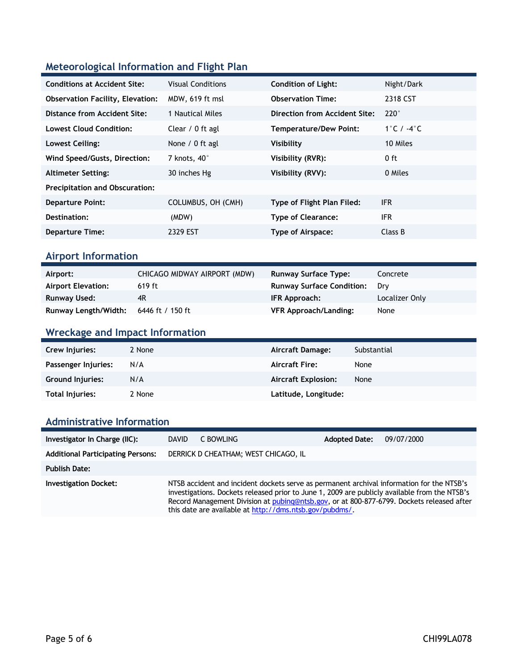## **Meteorological Information and Flight Plan**

| <b>Conditions at Accident Site:</b>     | <b>Visual Conditions</b> | <b>Condition of Light:</b>        | Night/Dark    |
|-----------------------------------------|--------------------------|-----------------------------------|---------------|
| <b>Observation Facility, Elevation:</b> | MDW, 619 ft msl          | <b>Observation Time:</b>          | 2318 CST      |
| Distance from Accident Site:            | 1 Nautical Miles         | Direction from Accident Site:     | $220^\circ$   |
| <b>Lowest Cloud Condition:</b>          | Clear / 0 ft agl         | <b>Temperature/Dew Point:</b>     | 1°C / $-4$ °C |
| Lowest Ceiling:                         | None / 0 ft agl          | Visibility                        | 10 Miles      |
| Wind Speed/Gusts, Direction:            | 7 knots, 40°             | Visibility (RVR):                 | $0$ ft        |
| <b>Altimeter Setting:</b>               | 30 inches Hg             | Visibility (RVV):                 | 0 Miles       |
| <b>Precipitation and Obscuration:</b>   |                          |                                   |               |
| <b>Departure Point:</b>                 | COLUMBUS, OH (CMH)       | <b>Type of Flight Plan Filed:</b> | <b>IFR</b>    |
| Destination:                            | (MDW)                    | <b>Type of Clearance:</b>         | <b>IFR</b>    |
| <b>Departure Time:</b>                  | 2329 EST                 | Type of Airspace:                 | Class B       |
|                                         |                          |                                   |               |

### **Airport Information**

| Airport:                  | CHICAGO MIDWAY AIRPORT (MDW) | <b>Runway Surface Type:</b>      | Concrete       |
|---------------------------|------------------------------|----------------------------------|----------------|
| <b>Airport Elevation:</b> | $619$ ft                     | <b>Runway Surface Condition:</b> | Drv            |
| Runway Used:              | 4R                           | IFR Approach:                    | Localizer Only |
| Runway Length/Width:      | 6446 ft / 150 ft             | <b>VFR Approach/Landing:</b>     | None           |

## **Wreckage and Impact Information**

| Crew Injuries:          | 2 None | Aircraft Damage:           | Substantial |
|-------------------------|--------|----------------------------|-------------|
| Passenger Injuries:     | N/A    | <b>Aircraft Fire:</b>      | None        |
| <b>Ground Injuries:</b> | N/A    | <b>Aircraft Explosion:</b> | None        |
| Total Injuries:         | 2 None | Latitude, Longitude:       |             |

### **Administrative Information**

| Investigator In Charge (IIC):            | <b>DAVID</b>                                                                                                                                                                                                                                                                                                                                       | C BOWLING                            | <b>Adopted Date:</b> | 09/07/2000 |
|------------------------------------------|----------------------------------------------------------------------------------------------------------------------------------------------------------------------------------------------------------------------------------------------------------------------------------------------------------------------------------------------------|--------------------------------------|----------------------|------------|
| <b>Additional Participating Persons:</b> |                                                                                                                                                                                                                                                                                                                                                    | DERRICK D CHEATHAM; WEST CHICAGO, IL |                      |            |
| <b>Publish Date:</b>                     |                                                                                                                                                                                                                                                                                                                                                    |                                      |                      |            |
| <b>Investigation Docket:</b>             | NTSB accident and incident dockets serve as permanent archival information for the NTSB's<br>investigations. Dockets released prior to June 1, 2009 are publicly available from the NTSB's<br>Record Management Division at pubing@ntsb.gov, or at 800-877-6799. Dockets released after<br>this date are available at http://dms.ntsb.gov/pubdms/. |                                      |                      |            |